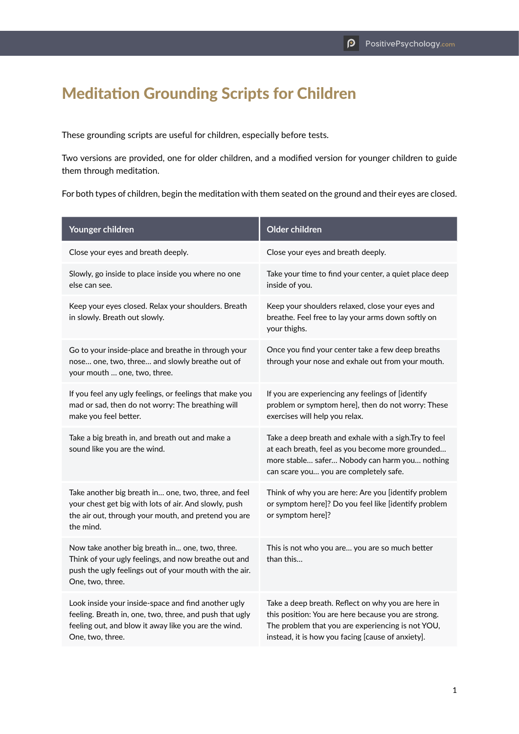## Meditation Grounding Scripts for Children

These grounding scripts are useful for children, especially before tests.

Two versions are provided, one for older children, and a modified version for younger children to guide them through meditation.

For both types of children, begin the meditation with them seated on the ground and their eyes are closed.

| Younger children                                                                                                                                                                           | Older children                                                                                                                                                                                                      |
|--------------------------------------------------------------------------------------------------------------------------------------------------------------------------------------------|---------------------------------------------------------------------------------------------------------------------------------------------------------------------------------------------------------------------|
| Close your eyes and breath deeply.                                                                                                                                                         | Close your eyes and breath deeply.                                                                                                                                                                                  |
| Slowly, go inside to place inside you where no one<br>else can see.                                                                                                                        | Take your time to find your center, a quiet place deep<br>inside of you.                                                                                                                                            |
| Keep your eyes closed. Relax your shoulders. Breath<br>in slowly. Breath out slowly.                                                                                                       | Keep your shoulders relaxed, close your eyes and<br>breathe. Feel free to lay your arms down softly on<br>your thighs.                                                                                              |
| Go to your inside-place and breathe in through your<br>nose one, two, three and slowly breathe out of<br>your mouth  one, two, three.                                                      | Once you find your center take a few deep breaths<br>through your nose and exhale out from your mouth.                                                                                                              |
| If you feel any ugly feelings, or feelings that make you<br>mad or sad, then do not worry: The breathing will<br>make you feel better.                                                     | If you are experiencing any feelings of [identify<br>problem or symptom here], then do not worry: These<br>exercises will help you relax.                                                                           |
| Take a big breath in, and breath out and make a<br>sound like you are the wind.                                                                                                            | Take a deep breath and exhale with a sigh. Try to feel<br>at each breath, feel as you become more grounded<br>more stable safer Nobody can harm you nothing<br>can scare you you are completely safe.               |
| Take another big breath in one, two, three, and feel<br>your chest get big with lots of air. And slowly, push<br>the air out, through your mouth, and pretend you are<br>the mind.         | Think of why you are here: Are you [identify problem<br>or symptom here]? Do you feel like [identify problem<br>or symptom here]?                                                                                   |
| Now take another big breath in one, two, three.<br>Think of your ugly feelings, and now breathe out and<br>push the ugly feelings out of your mouth with the air.<br>One, two, three.      | This is not who you are you are so much better<br>than this                                                                                                                                                         |
| Look inside your inside-space and find another ugly<br>feeling. Breath in, one, two, three, and push that ugly<br>feeling out, and blow it away like you are the wind.<br>One, two, three. | Take a deep breath. Reflect on why you are here in<br>this position: You are here because you are strong.<br>The problem that you are experiencing is not YOU,<br>instead, it is how you facing [cause of anxiety]. |
|                                                                                                                                                                                            |                                                                                                                                                                                                                     |